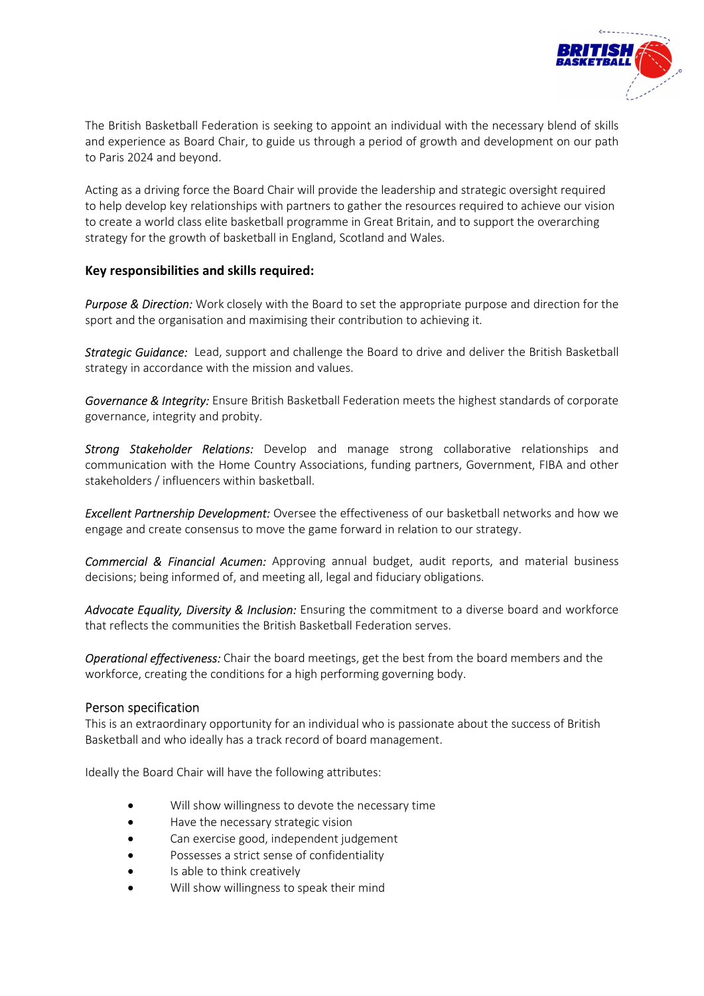

The British Basketball Federation is seeking to appoint an individual with the necessary blend of skills and experience as Board Chair, to guide us through a period of growth and development on our path to Paris 2024 and beyond.

Acting as a driving force the Board Chair will provide the leadership and strategic oversight required to help develop key relationships with partners to gather the resources required to achieve our vision to create a world class elite basketball programme in Great Britain, and to support the overarching strategy for the growth of basketball in England, Scotland and Wales.

## Key responsibilities and skills required:

Purpose & Direction: Work closely with the Board to set the appropriate purpose and direction for the sport and the organisation and maximising their contribution to achieving it.

Strategic Guidance: Lead, support and challenge the Board to drive and deliver the British Basketball strategy in accordance with the mission and values.

Governance & Integrity: Ensure British Basketball Federation meets the highest standards of corporate governance, integrity and probity.

Strong Stakeholder Relations: Develop and manage strong collaborative relationships and communication with the Home Country Associations, funding partners, Government, FIBA and other stakeholders / influencers within basketball.

**Excellent Partnership Development:** Oversee the effectiveness of our basketball networks and how we engage and create consensus to move the game forward in relation to our strategy.

**Commercial & Financial Acumen:** Approving annual budget, audit reports, and material business decisions; being informed of, and meeting all, legal and fiduciary obligations.

Advocate Equality, Diversity & Inclusion: Ensuring the commitment to a diverse board and workforce that reflects the communities the British Basketball Federation serves.

**Operational effectiveness:** Chair the board meetings, get the best from the board members and the workforce, creating the conditions for a high performing governing body.

## Person specification

This is an extraordinary opportunity for an individual who is passionate about the success of British Basketball and who ideally has a track record of board management.

Ideally the Board Chair will have the following attributes:

- Will show willingness to devote the necessary time
- Have the necessary strategic vision
- Can exercise good, independent judgement
- Possesses a strict sense of confidentiality
- Is able to think creatively
- Will show willingness to speak their mind